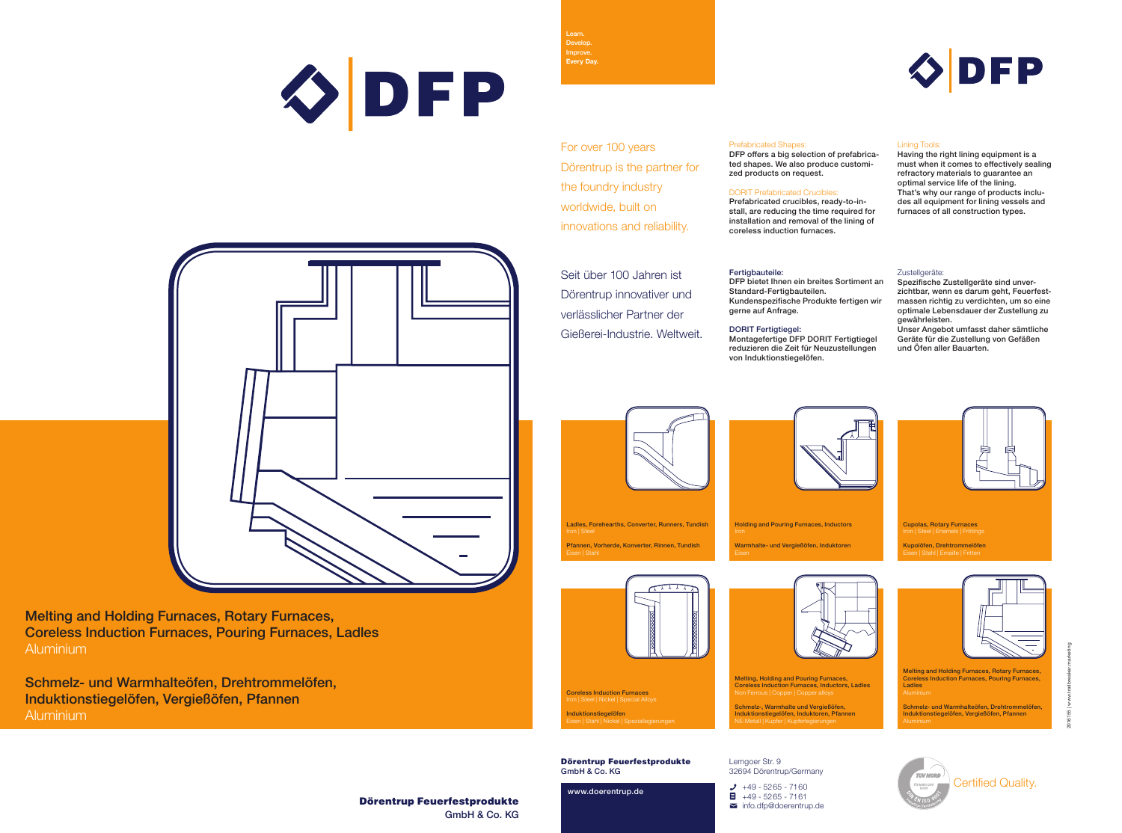Melting and Holding Furnaces, Rotary Furnaces, Coreless Induction Furnaces, Pouring Furnaces, Ladles Aluminium

Schmelz- und Warmhalteöfen, Drehtrommelöfen, Induktionstiegelöfen, Vergießöfen, Pfannen Aluminium

> Dörentrup Feuerfestprodukte GmbH & Co. KG



2016155 | www.trailbreaker.marketing



Dörentrup Feuerfestprodukte GmbH & Co. KG

www.doerentrup.de

Lemgoer Str. 9

 $\equiv$  info.dfp@doerentrup.de

32694 Dörentrup/Germany





Learn.

**Every Day.**

Certified Quality.

Melting, Holding and Pouring Furnaces, Coreless Induction Furnaces, Inductors, Ladles Ferrous | Copper | Copper a Schmelz-, Warmhalte und Vergießöfen, Induktionstiegelöfen, Induktoren, Pfannen NE-Metall | Kupfer | Kupferlegierungen



Melting and Holding Furnaces, Rotary Furnaces, Coreless Induction Furnaces, Pouring Furnaces, Ladles

Schmelz- und Warmhalteöfen, Drehtrommelöfen, Induktionstiegelöfen, Vergießöfen, Pfannen



Holding and Pouring Furnaces, Inductors Warmhalte- und Vergießöfen, Induktoren

Ladles, Forehearths, Converter, Runners, Tundish Pfannen, Vorherde, Konverter, Rinnen, Tundish



Coreless Induction Furnaces Iron | Steel | Nickel | Special Alloys Induktionstiegelöfen Eisen | Stahl | Nickel | Speziallegierungen

# ØDFP





DFP offers a big selection of prefabricated shapes. We also produce customized products on request.

# DORIT Prefabricated Crucibles:

Prefabricated crucibles, ready-to-install, are reducing the time required for installation and removal of the lining of coreless induction furnaces.

# Fertigbauteile:

# Lining Tools:

Having the right lining equipment is a must when it comes to effectively sealing refractory materials to guarantee an optimal service life of the lining. That's why our range of products includes all equipment for lining vessels and furnaces of all construction types.

# Zustellgeräte:

Seit über 100 Jahren ist Dörentrup innovativer und verlässlicher Partner der Gießerei-Industrie. Weltweit.



DFP bietet Ihnen ein breites Sortiment an Standard-Fertigbauteilen. Kundenspezifische Produkte fertigen wir gerne auf Anfrage.

# DORIT Fertigtiegel:

Montagefertige DFP DORIT Fertigtiegel reduzieren die Zeit für Neuzustellungen von Induktionstiegelöfen.

Spezifische Zustellgeräte sind unverzichtbar, wenn es darum geht, Feuerfestmassen richtig zu verdichten, um so eine optimale Lebensdauer der Zustellung zu gewährleisten.

Unser Angebot umfasst daher sämtliche Geräte für die Zustellung von Gefäßen und Öfen aller Bauarten.